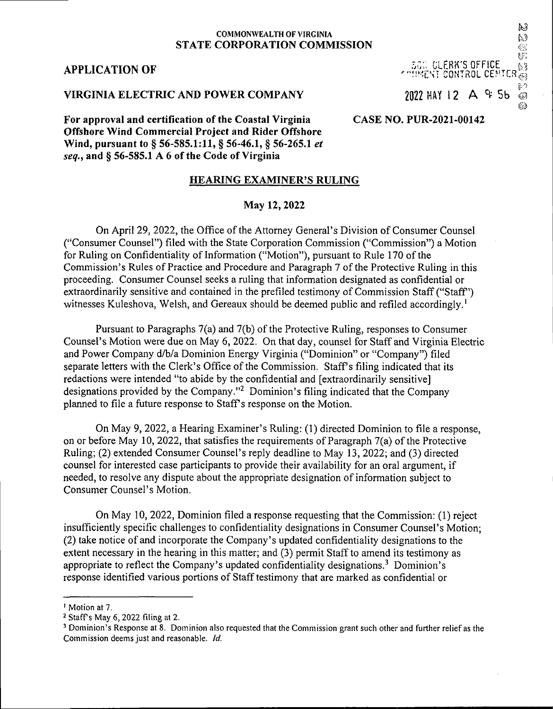#### **COMMONWEALTH OF VIRGINIA STATE CORPORATION COMMISSION**

### **APPLICATION OF**

#### **VIRGINIA ELECTRIC AND POWER COMPANY**

**For approval and certification ofthe Coastal Virginia Offshore Wind Commercial Project and Rider Offshore Wind, pursuant to § 56-585.1:11, § 56-46.1, § 56-265.1** *et seq.,* **and § 56-585.1 A 6 ofthe Code of Virginia**

### **HEARING EXAMINER'S RULING**

### **May 12,2022**

On April 29, 2022, the Office of the Attorney General's Division of Consumer Counsel ("Consumer Counsel") filed with the State Corporation Commission ("Commission") a Motion for Ruling on Confidentiality of Information ("Motion"), pursuant to Rule 170 of the Commission's Rules of Practice and Procedure and Paragraph 7 of the Protective Ruling in this proceeding. Consumer Counsel seeks a ruling that information designated as confidential or extraordinarily sensitive and contained in the prefiled testimony of Commission Staff ("Staff") witnesses Kuleshova, Welsh, and Gereaux should be deemed public and refiled accordingly.<sup>1</sup>

Pursuant to Paragraphs  $7(a)$  and  $7(b)$  of the Protective Ruling, responses to Consumer Counsel's Motion were due on May 6, 2022. On that day, counsel for Staff and Virginia Electric and Power Company d/b/a Dominion Energy Virginia ("Dominion" or "Company") filed separate letters with the Clerk's Office of the Commission. Staff's filing indicated that its redactions were intended "to abide by the confidential and [extraordinarily sensitive] designations provided by the Company."<sup>2</sup> Dominion's filing indicated that the Company planned to file a future response to Staff's response on the Motion.

On May 9, 2022, a Hearing Examiner's Ruling: (1) directed Dominion to file a response, on or before May 10, 2022, that satisfies the requirements of Paragraph  $7(a)$  of the Protective Ruling; (2) extended Consumer Counsel's reply deadline to May 13, 2022; and (3) directed counsel for interested case participants to provide their availability for an oral argument, if needed, to resolve any dispute about the appropriate designation of information subject to Consumer Counsel's Motion.

On May 10, 2022, Dominion filed a response requesting that the Commission: (1) reject insufficiently specific challenges to confidentiality designations in Consumer Counsel's Motion; (2) take notice of and incorporate the Company's updated confidentiality designations to the extent necessary in the hearing in this matter; and (3) permit Staff to amend its testimony as appropriate to reflect the Company's updated confidentiality designations.3 Dominion's response identified various portions of Staff testimony that are marked as confidential or

**'■''fftEN: CONTROL CENTER @** 2022 MAY 12 A & 5b © *&*

**... CLERK'S OFFICE**

### **CASE NO. PUR-2021-00142**

## $\mathbb{N}$  $\overline{\mathbb{G}}$ L.3

N)

<sup>&</sup>lt;sup>1</sup> Motion at 7.

<sup>2</sup> Staffs May 6,2022 filing at 2.

<sup>3</sup> Dominion's Response at 8. Dominion also requested that the Commission grant such other and further relief as the Commission deems just and reasonable. *Id.*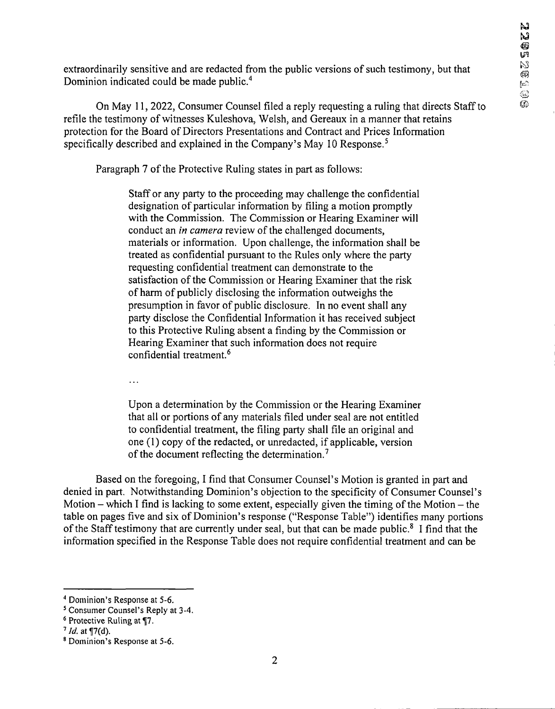extraordinarily sensitive and are redacted from the public versions of such testimony, but that Dominion indicated could be made public.<sup>4</sup>

On May 11, 2022, Consumer Counsel filed a reply requesting a ruling that directs Staff to refile the testimony of witnesses Kuleshova, Welsh, and Gereaux in a manner that retains protection for the Board of Directors Presentations and Contract and Prices Information specifically described and explained in the Company's May 10 Response.<sup>5</sup>

Paragraph 7 of the Protective Ruling states in part as follows:

Staff or any party to the proceeding may challenge the confidential designation of particular information by filing a motion promptly with the Commission. The Commission or Hearing Examiner will conduct an *in camera* review of the challenged documents, materials or information. Upon challenge, the information shall be treated as confidential pursuant to the Rules only where the party requesting confidential treatment can demonstrate to the satisfaction of the Commission or Hearing Examiner that the risk of harm of publicly disclosing the information outweighs the presumption in favor of public disclosure. In no event shall any party disclose the Confidential Information it has received subject to this Protective Ruling absent a finding by the Commission or Hearing Examiner that such information does not require confidential treatment.6

 $\ddotsc$ 

Upon a determination by the Commission or the Hearing Examiner that all or portions of any materials filed under seal are not entitled to confidential treatment, the filing party shall file an original and one (1) copy of the redacted, or unredacted, if applicable, version of the document reflecting the determination.<sup>7</sup>

Based on the foregoing, I find that Consumer Counsel's Motion is granted in part and denied in part. Notwithstanding Dominion's objection to the specificity of Consumer Counsel's Motion – which I find is lacking to some extent, especially given the timing of the Motion – the table on pages five and six of Dominion's response ("Response Table") identifies many portions of the Staff testimony that are currently under seal, but that can be made public.<sup>8</sup> I find that the information specified in the Response Table does not require confidential treatment and can be

<sup>4</sup> Dominion's Response at 5-6.

<sup>5</sup> Consumer Counsel's Reply at 3-4.

<sup>6</sup> Protective Ruling at *^1.*

 $7$  *Id.* at  $\P(7(d))$ .

<sup>8</sup> Dominion's Response at 5-6.